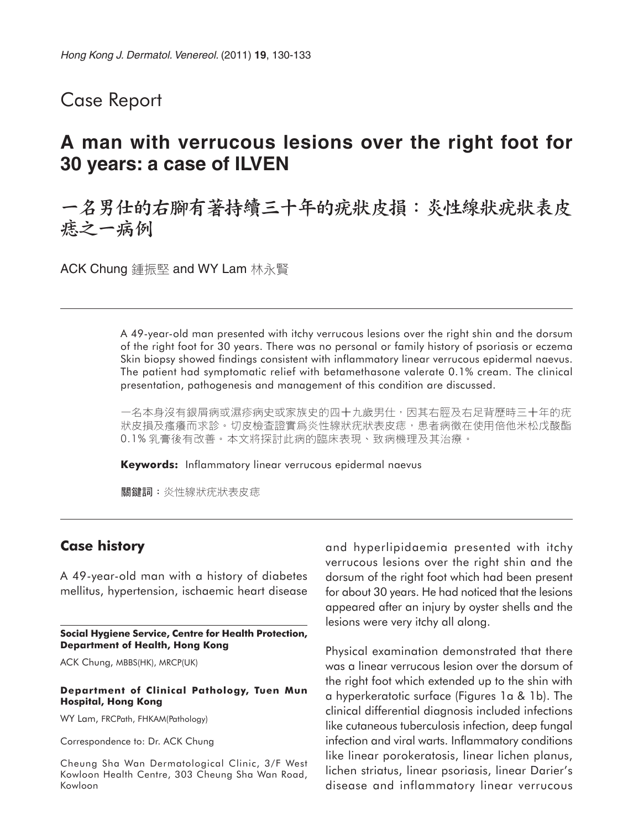### Case Report

## **A man with verrucous lesions over the right foot for 30 years: a case of ILVEN**

# 一名男仕的右腳有著持續三十年的疣狀皮損:炎性線狀疣狀表皮 痣之一病例

ACK Chung 鍾振堅 and WY Lam 林永賢

A 49-year-old man presented with itchy verrucous lesions over the right shin and the dorsum of the right foot for 30 years. There was no personal or family history of psoriasis or eczema Skin biopsy showed findings consistent with inflammatory linear verrucous epidermal naevus. The patient had symptomatic relief with betamethasone valerate 0.1% cream. The clinical presentation, pathogenesis and management of this condition are discussed.

一名本身沒有銀屑病或濕疹病史或家族史的四十九歲男仕,因其右脛及右足背歷時三十年的疣 状皮損及瘙癢而求診。切皮檢查證實爲炎性線狀疣狀表皮痣,患者病徵在使用倍他米松戊酸酯 0.1% 乳膏後有改善。本文將探討此病的臨床表現、致病機理及其治療。

**Keywords:** Inflammatory linear verrucous epidermal naevus

關鍵詞:炎性線狀疣狀表皮痣

#### **Case history**

A 49-year-old man with a history of diabetes mellitus, hypertension, ischaemic heart disease

**Social Hygiene Service, Centre for Health Protection, Department of Health, Hong Kong**

ACK Chung, MBBS(HK), MRCP(UK)

#### **Department of Clinical Pathology, Tuen Mun Hospital, Hong Kong**

WY Lam, FRCPath, FHKAM(Pathology)

Correspondence to: Dr. ACK Chung

Cheung Sha Wan Dermatological Clinic, 3/F West Kowloon Health Centre, 303 Cheung Sha Wan Road, Kowloon

and hyperlipidaemia presented with itchy verrucous lesions over the right shin and the dorsum of the right foot which had been present for about 30 years. He had noticed that the lesions appeared after an injury by oyster shells and the lesions were very itchy all along.

Physical examination demonstrated that there was a linear verrucous lesion over the dorsum of the right foot which extended up to the shin with a hyperkeratotic surface (Figures 1a & 1b). The clinical differential diagnosis included infections like cutaneous tuberculosis infection, deep fungal infection and viral warts. Inflammatory conditions like linear porokeratosis, linear lichen planus, lichen striatus, linear psoriasis, linear Darier's disease and inflammatory linear verrucous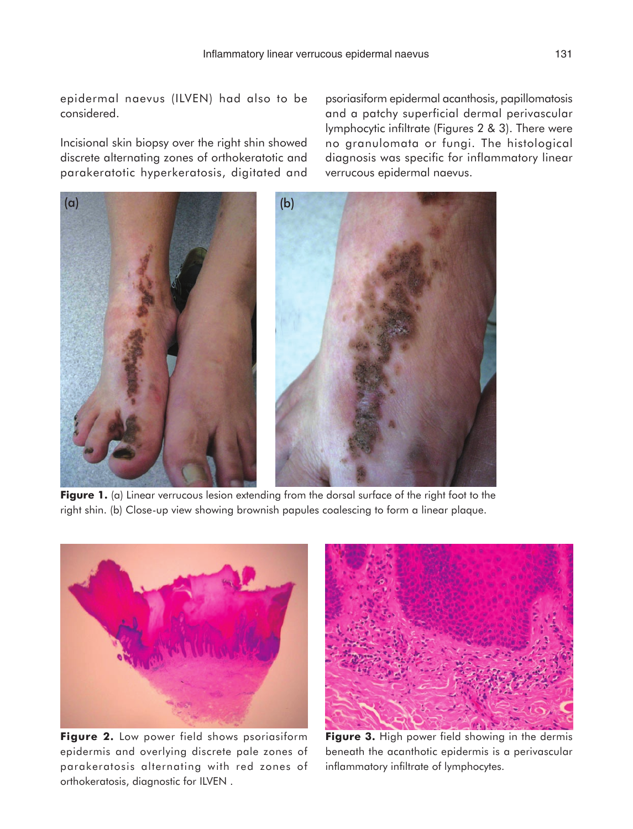epidermal naevus (ILVEN) had also to be considered.

Incisional skin biopsy over the right shin showed discrete alternating zones of orthokeratotic and parakeratotic hyperkeratosis, digitated and psoriasiform epidermal acanthosis, papillomatosis and a patchy superficial dermal perivascular lymphocytic infiltrate (Figures 2 & 3). There were no granulomata or fungi. The histological diagnosis was specific for inflammatory linear verrucous epidermal naevus.



**Figure 1.** (a) Linear verrucous lesion extending from the dorsal surface of the right foot to the right shin. (b) Close-up view showing brownish papules coalescing to form a linear plaque.



**Figure 2.** Low power field shows psoriasiform epidermis and overlying discrete pale zones of parakeratosis alternating with red zones of orthokeratosis, diagnostic for ILVEN .



**Figure 3.** High power field showing in the dermis beneath the acanthotic epidermis is a perivascular inflammatory infiltrate of lymphocytes.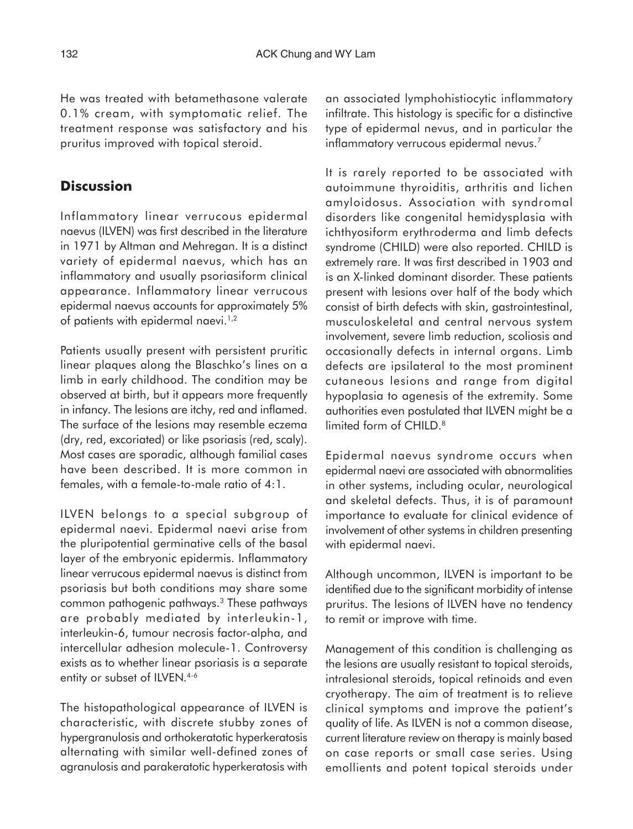He was treated with betamethasone valerate 0.1% cream, with symptomatic relief. The treatment response was satisfactory and his pruritus improved with topical steroid.

### **Discussion**

Inflammatory linear verrucous epidermal naevus (ILVEN) was first described in the literature in 1971 by Altman and Mehregan. It is a distinct variety of epidermal naevus, which has an inflammatory and usually psoriasiform clinical appearance. Inflammatory linear verrucous epidermal naevus accounts for approximately 5% of patients with epidermal naevi.<sup>1,2</sup>

Patients usually present with persistent pruritic linear plaques along the Blaschko's lines on a limb in early childhood. The condition may be observed at birth, but it appears more frequently in infancy. The lesions are itchy, red and inflamed. The surface of the lesions may resemble eczema (dry, red, excoriated) or like psoriasis (red, scaly). Most cases are sporadic, although familial cases have been described. It is more common in females, with a female-to-male ratio of 4:1.

ILVEN belongs to a special subgroup of epidermal naevi. Epidermal naevi arise from the pluripotential germinative cells of the basal layer of the embryonic epidermis. Inflammatory linear verrucous epidermal naevus is distinct from psoriasis but both conditions may share some common pathogenic pathways.<sup>3</sup> These pathways are probably mediated by interleukin-1, interleukin-6, tumour necrosis factor-alpha, and intercellular adhesion molecule-1. Controversy exists as to whether linear psoriasis is a separate entity or subset of ILVEN.<sup>4-6</sup>

The histopathological appearance of ILVEN is characteristic, with discrete stubby zones of hypergranulosis and orthokeratotic hyperkeratosis alternating with similar well-defined zones of agranulosis and parakeratotic hyperkeratosis with

an associated lymphohistiocytic inflammatory infiltrate. This histology is specific for a distinctive type of epidermal nevus, and in particular the inflammatory verrucous epidermal nevus.<sup>7</sup>

It is rarely reported to be associated with autoimmune thyroiditis, arthritis and lichen amyloidosus. Association with syndromal disorders like congenital hemidysplasia with ichthyosiform erythroderma and limb defects syndrome (CHILD) were also reported. CHILD is extremely rare. It was first described in 1903 and is an X-linked dominant disorder. These patients present with lesions over half of the body which consist of birth defects with skin, gastrointestinal, musculoskeletal and central nervous system involvement, severe limb reduction, scoliosis and occasionally defects in internal organs. Limb defects are ipsilateral to the most prominent cutaneous lesions and range from digital hypoplasia to agenesis of the extremity. Some authorities even postulated that ILVEN might be a limited form of CHILD.<sup>8</sup>

Epidermal naevus syndrome occurs when epidermal naevi are associated with abnormalities in other systems, including ocular, neurological and skeletal defects. Thus, it is of paramount importance to evaluate for clinical evidence of involvement of other systems in children presenting with epidermal naevi.

Although uncommon, ILVEN is important to be identified due to the significant morbidity of intense pruritus. The lesions of ILVEN have no tendency to remit or improve with time.

Management of this condition is challenging as the lesions are usually resistant to topical steroids, intralesional steroids, topical retinoids and even cryotherapy. The aim of treatment is to relieve clinical symptoms and improve the patient's quality of life. As ILVEN is not a common disease, current literature review on therapy is mainly based on case reports or small case series. Using emollients and potent topical steroids under